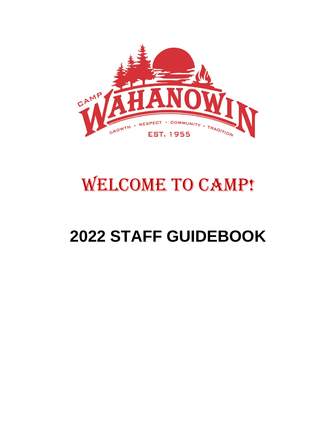

# WELCOME TO CAMP!

# **2022 STAFF GUIDEBOOK**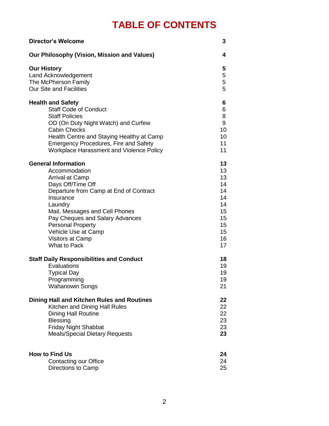# **TABLE OF CONTENTS**

| <b>Director's Welcome</b>                       | 3  |
|-------------------------------------------------|----|
| Our Philosophy (Vision, Mission and Values)     | 4  |
| <b>Our History</b>                              | 5  |
| Land Acknowledgement                            | 5  |
| The McPherson Family                            | 5  |
| <b>Our Site and Facilities</b>                  | 5  |
| <b>Health and Safety</b>                        | 6  |
| <b>Staff Code of Conduct</b>                    | 6  |
| <b>Staff Policies</b>                           | 8  |
| OD (On Duty Night Watch) and Curfew             | 9  |
| <b>Cabin Checks</b>                             | 10 |
| Health Centre and Staying Healthy at Camp       | 10 |
| <b>Emergency Procedures, Fire and Safety</b>    | 11 |
| Workplace Harassment and Violence Policy        | 11 |
| <b>General Information</b>                      | 13 |
| Accommodation                                   | 13 |
| Arrival at Camp                                 | 13 |
| Days Off/Time Off                               | 14 |
| Departure from Camp at End of Contract          | 14 |
| Insurance                                       | 14 |
| Laundry                                         | 14 |
| Mail, Messages and Cell Phones                  | 15 |
| Pay Cheques and Salary Advances                 | 15 |
| <b>Personal Property</b>                        | 15 |
| Vehicle Use at Camp                             | 15 |
| <b>Visitors at Camp</b>                         | 16 |
| <b>What to Pack</b>                             | 17 |
| <b>Staff Daily Responsibilities and Conduct</b> | 18 |
| Evaluations                                     | 19 |
| <b>Typical Day</b>                              | 19 |
| Programming                                     | 19 |
| <b>Wahanowin Songs</b>                          | 21 |
| Dining Hall and Kitchen Rules and Routines      | 22 |
| Kitchen and Dining Hall Rules                   | 22 |
| <b>Dining Hall Routine</b>                      | 22 |
| <b>Blessing</b>                                 | 23 |
| <b>Friday Night Shabbat</b>                     | 23 |
| <b>Meals/Special Dietary Requests</b>           | 23 |
| <b>How to Find Us</b>                           | 24 |
| <b>Contacting our Office</b>                    | 24 |
| Directions to Camp                              | 25 |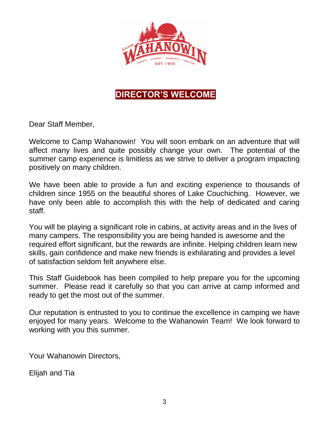

# **DIRECTOR'S WELCOME**

Dear Staff Member,

Welcome to Camp Wahanowin! You will soon embark on an adventure that will affect many lives and quite possibly change your own. The potential of the summer camp experience is limitless as we strive to deliver a program impacting positively on many children.

We have been able to provide a fun and exciting experience to thousands of children since 1955 on the beautiful shores of Lake Couchiching. However, we have only been able to accomplish this with the help of dedicated and caring staff.

You will be playing a significant role in cabins, at activity areas and in the lives of many campers. The responsibility you are being handed is awesome and the required effort significant, but the rewards are infinite. Helping children learn new skills, gain confidence and make new friends is exhilarating and provides a level of satisfaction seldom felt anywhere else.

This Staff Guidebook has been compiled to help prepare you for the upcoming summer. Please read it carefully so that you can arrive at camp informed and ready to get the most out of the summer.

Our reputation is entrusted to you to continue the excellence in camping we have enjoyed for many years. Welcome to the Wahanowin Team! We look forward to working with you this summer.

Your Wahanowin Directors,

Elijah and Tia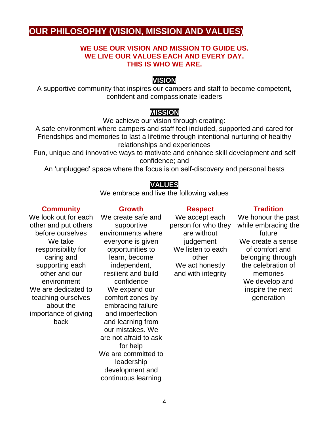# **OUR PHILOSOPHY (VISION, MISSION AND VALUES)**

### **WE USE OUR VISION AND MISSION TO GUIDE US. WE LIVE OUR VALUES EACH AND EVERY DAY. THIS IS WHO WE ARE.**

### **VISION**

A supportive community that inspires our campers and staff to become competent, confident and compassionate leaders

### **MISSION**

We achieve our vision through creating:

A safe environment where campers and staff feel included, supported and cared for Friendships and memories to last a lifetime through intentional nurturing of healthy relationships and experiences

Fun, unique and innovative ways to motivate and enhance skill development and self confidence; and

An 'unplugged' space where the focus is on self-discovery and personal bests

### **VALUES**

We embrace and live the following values

### **Community**

We look out for each other and put others before ourselves We take responsibility for caring and supporting each other and our environment We are dedicated to teaching ourselves about the importance of giving back

**Growth** We create safe and supportive environments where everyone is given opportunities to learn, become independent, resilient and build confidence We expand our comfort zones by embracing failure and imperfection and learning from our mistakes. We are not afraid to ask for help We are committed to leadership development and continuous learning

### **Respect**

We accept each person for who they are without judgement We listen to each other We act honestly and with integrity

### **Tradition**

We honour the past while embracing the future We create a sense of comfort and belonging through the celebration of memories We develop and inspire the next generation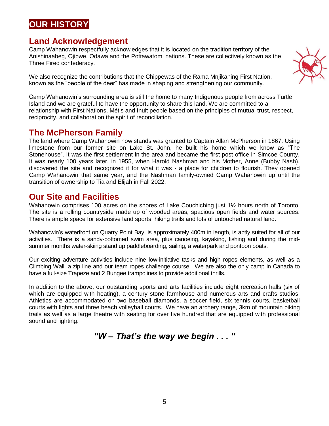# **OUR HISTORY**

# **Land Acknowledgement**

Camp Wahanowin respectfully acknowledges that it is located on the tradition territory of the Anishinaabeg, Ojibwe, Odawa and the Pottawatomi nations. These are collectively known as the Three Fired confederacy.

We also recognize the contributions that the Chippewas of the Rama Mnjikaning First Nation, known as the "people of the deer" has made in shaping and strengthening our community.

Camp Wahanowin's surrounding area is still the home to many Indigenous people from across Turtle Island and we are grateful to have the opportunity to share this land. We are committed to a relationship with First Nations, Métis and Inuit people based on the principles of mutual trust, respect, reciprocity, and collaboration the spirit of reconciliation.

### **The McPherson Family**

The land where Camp Wahanowin now stands was granted to Captain Allan McPherson in 1867. Using limestone from our former site on Lake St. John, he built his home which we know as "The Stonehouse". It was the first settlement in the area and became the first post office in Simcoe County. It was nearly 100 years later, in 1955, when Harold Nashman and his Mother, Anne (Bubby Nash), discovered the site and recognized it for what it was - a place for children to flourish. They opened Camp Wahanowin that same year, and the Nashman family-owned Camp Wahanowin up until the transition of ownership to Tia and Elijah in Fall 2022.

### **Our Site and Facilities**

Wahanowin comprises 100 acres on the shores of Lake Couchiching just 1<sup>1</sup>/<sub>2</sub> hours north of Toronto. The site is a rolling countryside made up of wooded areas, spacious open fields and water sources. There is ample space for extensive land sports, hiking trails and lots of untouched natural land.

Wahanowin's waterfront on Quarry Point Bay, is approximately 400m in length, is aptly suited for all of our activities. There is a sandy-bottomed swim area, plus canoeing, kayaking, fishing and during the midsummer months water-skiing stand up paddleboarding, sailing, a waterpark and pontoon boats.

Our exciting adventure activities include nine low-initiative tasks and high ropes elements, as well as a Climbing Wall, a zip line and our team ropes challenge course. We are also the only camp in Canada to have a full-size Trapeze and 2 Bungee trampolines to provide additional thrills.

In addition to the above, our outstanding sports and arts facilities include eight recreation halls (six of which are equipped with heating), a century stone farmhouse and numerous arts and crafts studios. Athletics are accommodated on two baseball diamonds, a soccer field, six tennis courts, basketball courts with lights and three beach volleyball courts. We have an archery range, 3km of mountain biking trails as well as a large theatre with seating for over five hundred that are equipped with professional sound and lighting.

*"W – That's the way we begin . . . "*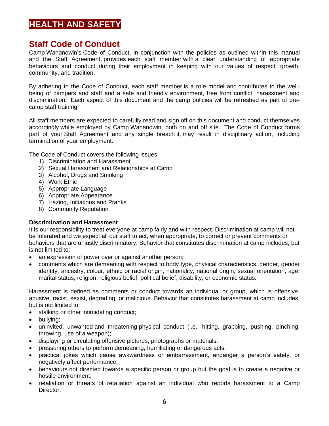# **HEALTH AND SAFETY**

### **Staff Code of Conduct**

Camp Wahanowin's Code of Conduct, in conjunction with the policies as outlined within this manual and the Staff Agreement, provides each staff member with a clear understanding of appropriate behaviours and conduct during their employment in keeping with our values of respect, growth, community, and tradition.

By adhering to the Code of Conduct, each staff member is a role model and contributes to the wellbeing of campers and staff and a safe and friendly environment, free from conflict, harassment and discrimination. Each aspect of this document and the camp policies will be refreshed as part of precamp staff training.

All staff members are expected to carefully read and sign off on this document and conduct themselves accordingly while employed by Camp Wahanowin, both on and off site. The Code of Conduct forms part of your Staff Agreement and any single breach it, may result in disciplinary action, including termination of your employment.

The Code of Conduct covers the following issues:

- 1) Discrimination and Harassment
- 2) Sexual Harassment and Relationships at Camp
- 3) Alcohol, Drugs and Smoking
- 4) Work Ethic
- 5) Appropriate Language
- 6) Appropriate Appearance
- 7) Hazing, Initiations and Pranks
- 8) Community Reputation

### **Discrimination and Harassment**

It is our responsibility to treat everyone at camp fairly and with respect. Discrimination at camp will not be tolerated and we expect all our staff to act, when appropriate, to correct or prevent comments or behaviors that are unjustly discriminatory. Behavior that constitutes discrimination at camp includes, but is not limited to:

- an expression of power over or against another person;
- comments which are demeaning with respect to body type, physical characteristics, gender, gender identity, ancestry, colour, ethnic or racial origin, nationality, national origin, sexual orientation, age, marital status, religion, religious belief, political belief, disability, or economic status.

Harassment is defined as comments or conduct towards an individual or group, which is offensive, abusive, racist, sexist, degrading, or malicious. Behavior that constitutes harassment at camp includes, but is not limited to:

- stalking or other intimidating conduct;
- bullying;
- uninvited, unwanted and threatening physical conduct (i.e., hitting, grabbing, pushing, pinching, throwing, use of a weapon);
- displaying or circulating offensive pictures, photographs or materials;
- pressuring others to perform demeaning, humiliating or dangerous acts;
- practical jokes which cause awkwardness or embarrassment, endanger a person's safety, or negatively affect performance;
- behaviours not directed towards a specific person or group but the goal is to create a negative or hostile environment;
- retaliation or threats of retaliation against an individual who reports harassment to a Camp Director.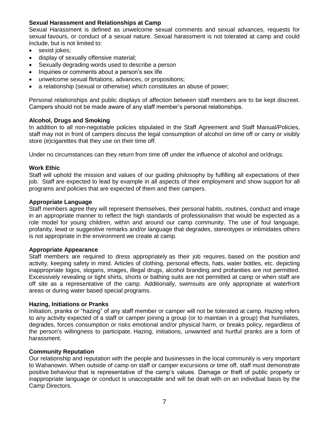### **Sexual Harassment and Relationships at Camp**

Sexual Harassment is defined as unwelcome sexual comments and sexual advances, requests for sexual favours, or conduct of a sexual nature. Sexual harassment is not tolerated at camp and could include, but is not limited to:

- sexist jokes;
- display of sexually offensive material;
- Sexually degrading words used to describe a person
- Inquiries or comments about a person's sex life
- unwelcome sexual flirtations, advances, or propositions;
- a relationship (sexual or otherwise) which constitutes an abuse of power;

Personal relationships and public displays of affection between staff members are to be kept discreet. Campers should not be made aware of any staff member's personal relationships.

### **Alcohol, Drugs and Smoking**

In addition to all non-negotiable policies stipulated in the Staff Agreement and Staff Manual/Policies, staff may not in front of campers discuss the legal consumption of alcohol on time off or carry or visibly store (e)cigarettes that they use on their time off.

Under no circumstances can they return from time off under the influence of alcohol and or/drugs.

### **Work Ethic**

Staff will uphold the mission and values of our guiding philosophy by fulfilling all expectations of their job. Staff are expected to lead by example in all aspects of their employment and show support for all programs and policies that are expected of them and their campers.

#### **Appropriate Language**

Staff members agree they will represent themselves, their personal habits, routines, conduct and image in an appropriate manner to reflect the high standards of professionalism that would be expected as a role model for young children, within and around our camp community. The use of foul language, profanity, lewd or suggestive remarks and/or language that degrades, stereotypes or intimidates others is not appropriate in the environment we create at camp.

#### **Appropriate Appearance**

Staff members are required to dress appropriately as their job requires, based on the position and activity, keeping safety in mind. Articles of clothing, personal effects, hats, water bottles, etc. depicting inappropriate logos, slogans, images, illegal drugs, alcohol branding and profanities are not permitted. Excessively revealing or tight shirts, shorts or bathing suits are not permitted at camp or when staff are off site as a representative of the camp. Additionally, swimsuits are only appropriate at waterfront areas or during water based special programs.

#### **Hazing, Initiations or Pranks**

Initiation, pranks or "hazing" of any staff member or camper will not be tolerated at camp. Hazing refers to any activity expected of a staff or camper joining a group (or to maintain in a group) that humiliates, degrades, forces consumption or risks emotional and/or physical harm, or breaks policy, regardless of the person's willingness to participate. Hazing, initiations, unwanted and hurtful pranks are a form of harassment.

### **Community Reputation**

Our relationship and reputation with the people and businesses in the local community is very important to Wahanowin. When outside of camp on staff or camper excursions or time off, staff must demonstrate positive behaviour that is representative of the camp's values. Damage or theft of public property or inappropriate language or conduct is unacceptable and will be dealt with on an individual basis by the Camp Directors.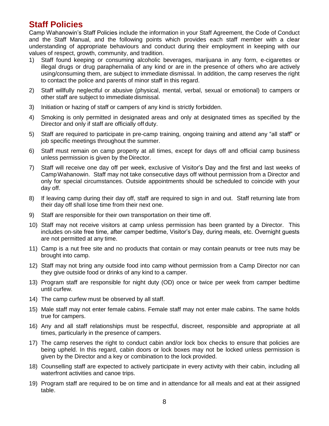### **Staff Policies**

Camp Wahanowin's Staff Policies include the information in your Staff Agreement, the Code of Conduct and the Staff Manual, and the following points which provides each staff member with a clear understanding of appropriate behaviours and conduct during their employment in keeping with our values of respect, growth, community, and tradition.

- 1) Staff found keeping or consuming alcoholic beverages, marijuana in any form, e-cigarettes or illegal drugs or drug paraphernalia of any kind or are in the presence of others who are actively using/consuming them, are subject to immediate dismissal. In addition, the camp reserves the right to contact the police and parents of minor staff in this regard.
- 2) Staff willfully neglectful or abusive (physical, mental, verbal, sexual or emotional) to campers or other staff are subject to immediate dismissal.
- 3) Initiation or hazing of staff or campers of any kind is strictly forbidden.
- 4) Smoking is only permitted in designated areas and only at designated times as specified by the Director and only if staff are officially off duty.
- 5) Staff are required to participate in pre-camp training, ongoing training and attend any "all staff" or job specific meetings throughout the summer.
- 6) Staff must remain on camp property at all times, except for days off and official camp business unless permission is given by the Director.
- 7) Staff will receive one day off per week, exclusive of Visitor's Day and the first and last weeks of CampWahanowin. Staff may not take consecutive days off without permission from a Director and only for special circumstances. Outside appointments should be scheduled to coincide with your day off.
- 8) If leaving camp during their day off, staff are required to sign in and out. Staff returning late from their day off shall lose time from their next one.
- 9) Staff are responsible for their own transportation on their time off.
- 10) Staff may not receive visitors at camp unless permission has been granted by a Director. This includes on-site free time, after camper bedtime, Visitor's Day, during meals, etc. Overnight guests are not permitted at any time.
- 11) Camp is a nut free site and no products that contain or may contain peanuts or tree nuts may be brought into camp.
- 12) Staff may not bring any outside food into camp without permission from a Camp Director nor can they give outside food or drinks of any kind to a camper.
- 13) Program staff are responsible for night duty (OD) once or twice per week from camper bedtime until curfew.
- 14) The camp curfew must be observed by all staff.
- 15) Male staff may not enter female cabins. Female staff may not enter male cabins. The same holds true for campers.
- 16) Any and all staff relationships must be respectful, discreet, responsible and appropriate at all times, particularly in the presence of campers.
- 17) The camp reserves the right to conduct cabin and/or lock box checks to ensure that policies are being upheld. In this regard, cabin doors or lock boxes may not be locked unless permission is given by the Director and a key or combination to the lock provided.
- 18) Counselling staff are expected to actively participate in every activity with their cabin, including all waterfront activities and canoe trips.
- 19) Program staff are required to be on time and in attendance for all meals and eat at their assigned table.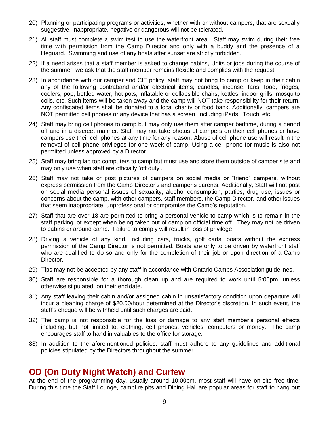- 20) Planning or participating programs or activities, whether with or without campers, that are sexually suggestive, inappropriate, negative or dangerous will not be tolerated.
- 21) All staff must complete a swim test to use the waterfront area. Staff may swim during their free time with permission from the Camp Director and only with a buddy and the presence of a lifeguard. Swimming and use of any boats after sunset are strictly forbidden.
- 22) If a need arises that a staff member is asked to change cabins, Units or jobs during the course of the summer, we ask that the staff member remains flexible and complies with the request.
- 23) In accordance with our camper and CIT policy, staff may not bring to camp or keep in their cabin any of the following contraband and/or electrical items; candles, incense, fans, food, fridges, coolers, pop, bottled water, hot pots, inflatable or collapsible chairs, kettles, indoor grills, mosquito coils, etc. Such items will be taken away and the camp will NOT take responsibility for their return. Any confiscated items shall be donated to a local charity or food bank. Additionally, campers are NOT permitted cell phones or any device that has a screen, including iPads, iTouch, etc.
- 24) Staff may bring cell phones to camp but may only use them after camper bedtime, during a period off and in a discreet manner. Staff may not take photos of campers on their cell phones or have campers use their cell phones at any time for any reason. Abuse of cell phone use will result in the removal of cell phone privileges for one week of camp. Using a cell phone for music is also not permitted unless approved by a Director.
- 25) Staff may bring lap top computers to camp but must use and store them outside of camper site and may only use when staff are officially 'off duty'.
- 26) Staff may not take or post pictures of campers on social media or "friend" campers, without express permission from the Camp Director's and camper's parents. Additionally, Staff will not post on social media personal issues of sexuality, alcohol consumption, parties, drug use, issues or concerns about the camp, with other campers, staff members, the Camp Director, and other issues that seem inappropriate, unprofessional or compromise the Camp's reputation.
- 27) Staff that are over 18 are permitted to bring a personal vehicle to camp which is to remain in the staff parking lot except when being taken out of camp on official time off. They may not be driven to cabins or around camp. Failure to comply will result in loss of privilege.
- 28) Driving a vehicle of any kind, including cars, trucks, golf carts, boats without the express permission of the Camp Director is not permitted. Boats are only to be driven by waterfront staff who are qualified to do so and only for the completion of their job or upon direction of a Camp Director.
- 29) Tips may not be accepted by any staff in accordance with Ontario Camps Association guidelines.
- 30) Staff are responsible for a thorough clean up and are required to work until 5:00pm, unless otherwise stipulated, on their end date.
- 31) Any staff leaving their cabin and/or assigned cabin in unsatisfactory condition upon departure will incur a cleaning charge of \$20.00/hour determined at the Director's discretion. In such event, the staff's cheque will be withheld until such charges are paid.
- 32) The camp is not responsible for the loss or damage to any staff member's personal effects including, but not limited to, clothing, cell phones, vehicles, computers or money. The camp encourages staff to hand in valuables to the office for storage.
- 33) In addition to the aforementioned policies, staff must adhere to any guidelines and additional policies stipulated by the Directors throughout the summer.

### **OD (On Duty Night Watch) and Curfew**

At the end of the programming day, usually around 10:00pm, most staff will have on-site free time. During this time the Staff Lounge, campfire pits and Dining Hall are popular areas for staff to hang out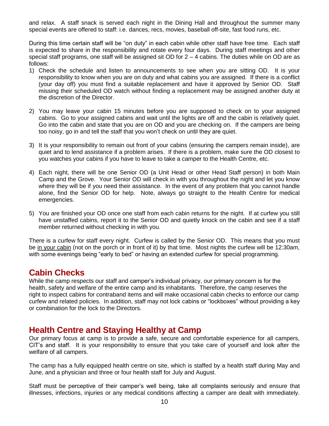and relax. A staff snack is served each night in the Dining Hall and throughout the summer many special events are offered to staff: i.e. dances, recs, movies, baseball off-site, fast food runs, etc.

During this time certain staff will be "on duty" in each cabin while other staff have free time. Each staff is expected to share in the responsibility and rotate every four days. During staff meetings and other special staff programs, one staff will be assigned sit OD for  $2 - 4$  cabins. The duties while on OD are as follows:

- 1) Check the schedule and listen to announcements to see when you are sitting OD. It is your responsibility to know when you are on duty and what cabins you are assigned. If there is a conflict (your day off) you must find a suitable replacement and have it approved by Senior OD. Staff missing their scheduled OD watch without finding a replacement may be assigned another duty at the discretion of the Director.
- 2) You may leave your cabin 15 minutes before you are supposed to check on to your assigned cabins. Go to your assigned cabins and wait until the lights are off and the cabin is relatively quiet. Go into the cabin and state that you are on OD and you are checking on. If the campers are being too noisy, go in and tell the staff that you won't check on until they are quiet.
- 3) It is your responsibility to remain out front of your cabins (ensuring the campers remain inside), are quiet and to lend assistance if a problem arises. If there is a problem, make sure the OD closest to you watches your cabins if you have to leave to take a camper to the Health Centre, etc.
- 4) Each night, there will be one Senior OD (a Unit Head or other Head Staff person) in both Main Camp and the Grove. Your Senior OD will check in with you throughout the night and let you know where they will be if you need their assistance. In the event of any problem that you cannot handle alone, find the Senior OD for help. Note, always go straight to the Health Centre for medical emergencies.
- 5) You are finished your OD once one staff from each cabin returns for the night. If at curfew you still have unstaffed cabins, report it to the Senior OD and quietly knock on the cabin and see if a staff member returned without checking in with you.

There is a curfew for staff every night. Curfew is called by the Senior OD. This means that you must be in your cabin (not on the porch or in front of it) by that time. Most nights the curfew will be 12:30am, with some evenings being "early to bed" or having an extended curfew for special programming.

### **Cabin Checks**

While the camp respects our staff and camper's individual privacy, our primary concern is for the health, safety and welfare of the entire camp and its inhabitants. Therefore, the camp reserves the right to inspect cabins for contraband items and will make occasional cabin checks to enforce our camp curfew and related policies. In addition, staff may not lock cabins or "lockboxes" without providing a key or combination for the lock to the Directors.

### **Health Centre and Staying Healthy at Camp**

Our primary focus at camp is to provide a safe, secure and comfortable experience for all campers, CIT's and staff. It is your responsibility to ensure that you take care of yourself and look after the welfare of all campers.

The camp has a fully equipped health centre on site, which is staffed by a health staff during May and June, and a physician and three or four health staff for July and August.

Staff must be perceptive of their camper's well being, take all complaints seriously and ensure that illnesses, infections, injuries or any medical conditions affecting a camper are dealt with immediately.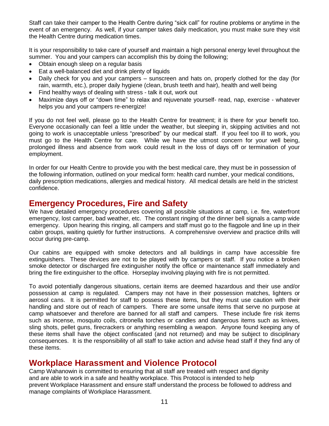Staff can take their camper to the Health Centre during "sick call" for routine problems or anytime in the event of an emergency. As well, if your camper takes daily medication, you must make sure they visit the Health Centre during medication times.

It is your responsibility to take care of yourself and maintain a high personal energy level throughout the summer. You and your campers can accomplish this by doing the following;

- Obtain enough sleep on a regular basis
- Eat a well-balanced diet and drink plenty of liquids
- Daily check for you and your campers sunscreen and hats on, properly clothed for the day (for rain, warmth, etc.), proper daily hygiene (clean, brush teeth and hair), health and well being
- Find healthy ways of dealing with stress talk it out, work out
- Maximize days off or "down time" to relax and rejuvenate yourself- read, nap, exercise whatever helps you and your campers re-energize!

If you do not feel well, please go to the Health Centre for treatment; it is there for your benefit too. Everyone occasionally can feel a little under the weather, but sleeping in, skipping activities and not going to work is unacceptable unless "prescribed" by our medical staff. If you feel too ill to work, you must go to the Health Centre for care. While we have the utmost concern for your well being, prolonged illness and absence from work could result in the loss of days off or termination of your employment.

In order for our Health Centre to provide you with the best medical care, they must be in possession of the following information, outlined on your medical form: health card number, your medical conditions, daily prescription medications, allergies and medical history. All medical details are held in the strictest confidence.

### **Emergency Procedures, Fire and Safety**

We have detailed emergency procedures covering all possible situations at camp, i.e. fire, waterfront emergency, lost camper, bad weather, etc. The constant ringing of the dinner bell signals a camp wide emergency. Upon hearing this ringing, all campers and staff must go to the flagpole and line up in their cabin groups, waiting quietly for further instructions. A comprehensive overview and practice drills will occur during pre-camp.

Our cabins are equipped with smoke detectors and all buildings in camp have accessible fire extinguishers. These devices are not to be played with by campers or staff. If you notice a broken smoke detector or discharged fire extinguisher notify the office or maintenance staff immediately and bring the fire extinguisher to the office. Horseplay involving playing with fire is not permitted.

To avoid potentially dangerous situations, certain items are deemed hazardous and their use and/or possession at camp is regulated. Campers may not have in their possession matches, lighters or aerosol cans. It is permitted for staff to possess these items, but they must use caution with their handling and store out of reach of campers. There are some unsafe items that serve no purpose at camp whatsoever and therefore are banned for all staff and campers. These include fire risk items such as incense, mosquito coils, citronella torches or candles and dangerous items such as knives, sling shots, pellet guns, firecrackers or anything resembling a weapon. Anyone found keeping any of these items shall have the object confiscated (and not returned) and may be subject to disciplinary consequences. It is the responsibility of all staff to take action and advise head staff if they find any of these items.

### **Workplace Harassment and Violence Protocol**

Camp Wahanowin is committed to ensuring that all staff are treated with respect and dignity and are able to work in a safe and healthy workplace. This Protocol is intended to help prevent Workplace Harassment and ensure staff understand the process be followed to address and manage complaints of Workplace Harassment.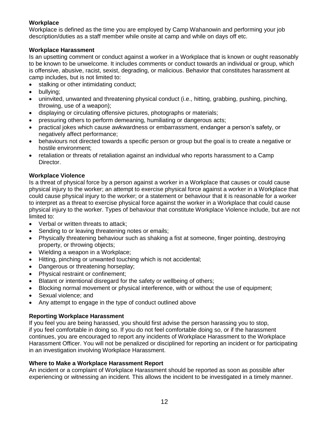### **Workplace**

Workplace is defined as the time you are employed by Camp Wahanowin and performing your job description/duties as a staff member while onsite at camp and while on days off etc.

### **Workplace Harassment**

Is an upsetting comment or conduct against a worker in a Workplace that is known or ought reasonably to be known to be unwelcome. It includes comments or conduct towards an individual or group, which is offensive, abusive, racist, sexist, degrading, or malicious. Behavior that constitutes harassment at camp includes, but is not limited to:

- stalking or other intimidating conduct;
- bullying;
- uninvited, unwanted and threatening physical conduct (i.e., hitting, grabbing, pushing, pinching, throwing, use of a weapon);
- displaying or circulating offensive pictures, photographs or materials;
- pressuring others to perform demeaning, humiliating or dangerous acts;
- practical jokes which cause awkwardness or embarrassment, endanger a person's safety, or negatively affect performance;
- behaviours not directed towards a specific person or group but the goal is to create a negative or hostile environment;
- retaliation or threats of retaliation against an individual who reports harassment to a Camp Director.

### **Workplace Violence**

Is a threat of physical force by a person against a worker in a Workplace that causes or could cause physical injury to the worker; an attempt to exercise physical force against a worker in a Workplace that could cause physical injury to the worker; or a statement or behaviour that it is reasonable for a worker to interpret as a threat to exercise physical force against the worker in a Workplace that could cause physical injury to the worker. Types of behaviour that constitute Workplace Violence include, but are not limited to:

- Verbal or written threats to attack;
- Sending to or leaving threatening notes or emails;
- Physically threatening behaviour such as shaking a fist at someone, finger pointing, destroying property, or throwing objects;
- Wielding a weapon in a Workplace;
- Hitting, pinching or unwanted touching which is not accidental;
- Dangerous or threatening horseplay;
- Physical restraint or confinement;
- Blatant or intentional disregard for the safety or wellbeing of others;
- Blocking normal movement or physical interference, with or without the use of equipment;
- Sexual violence; and
- Any attempt to engage in the type of conduct outlined above

### **Reporting Workplace Harassment**

If you feel you are being harassed, you should first advise the person harassing you to stop, if you feel comfortable in doing so. If you do not feel comfortable doing so, or if the harassment continues, you are encouraged to report any incidents of Workplace Harassment to the Workplace Harassment Officer. You will not be penalized or disciplined for reporting an incident or for participating in an investigation involving Workplace Harassment.

### **Where to Make a Workplace Harassment Report**

An incident or a complaint of Workplace Harassment should be reported as soon as possible after experiencing or witnessing an incident. This allows the incident to be investigated in a timely manner.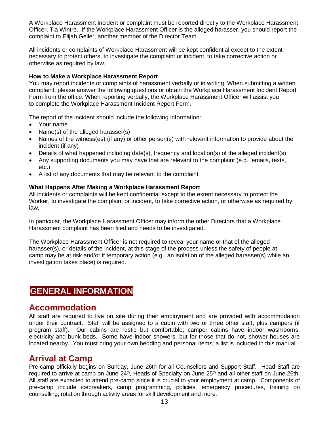A Workplace Harassment incident or complaint must be reported directly to the Workplace Harassment Officer, Tia Wintre. If the Workplace Harassment Officer is the alleged harasser, you should report the complaint to Elijah Geller, another member of the Director Team.

All incidents or complaints of Workplace Harassment will be kept confidential except to the extent necessary to protect others, to investigate the complaint or incident, to take corrective action or otherwise as required by law.

#### **How to Make a Workplace Harassment Report**

You may report incidents or complaints of harassment verbally or in writing. When submitting a written complaint, please answer the following questions or obtain the Workplace Harassment Incident Report Form from the office. When reporting verbally, the Workplace Harassment Officer will assist you to complete the Workplace Harassment Incident Report Form.

The report of the incident should include the following information:

- Your name
- Name(s) of the alleged harasser(s)
- Names of the witness(es) (if any) or other person(s) with relevant information to provide about the incident (if any)
- Details of what happened including date(s), frequency and location(s) of the alleged incident(s)
- Any supporting documents you may have that are relevant to the complaint (e.g., emails, texts, etc.).
- A list of any documents that may be relevant to the complaint.

#### **What Happens After Making a Workplace Harassment Report**

All incidents or complaints will be kept confidential except to the extent necessary to protect the Worker, to investigate the complaint or incident, to take corrective action, or otherwise as required by law.

In particular, the Workplace Harassment Officer may inform the other Directors that a Workplace Harassment complaint has been filed and needs to be investigated.

The Workplace Harassment Officer is not required to reveal your name or that of the alleged harasser(s), or details of the incident, at this stage of the process unless the safety of people at camp may be at risk and/or if temporary action (e.g., an isolation of the alleged harasser(s) while an investigation takes place) is required.

### **GENERAL INFORMATION**

### **Accommodation**

All staff are required to live on site during their employment and are provided with accommodation under their contract. Staff will be assigned to a cabin with two or three other staff, plus campers (if program staff). Our cabins are rustic but comfortable; camper cabins have indoor washrooms, electricity and bunk beds. Some have indoor showers, but for those that do not, shower houses are located nearby. You must bring your own bedding and personal items; a list is included in this manual.

### **Arrival at Camp**

Pre-camp officially begins on Sunday, June 26th for all Counsellors and Support Staff. Head Staff are required to arrive at camp on June 24<sup>th</sup>, Heads of Specialty on June 25<sup>th</sup> and all other staff on June 26th. All staff are expected to attend pre-camp since it is crucial to your employment at camp. Components of pre-camp include icebreakers, camp programming, policies, emergency procedures, training on counselling, rotation through activity areas for skill development and more.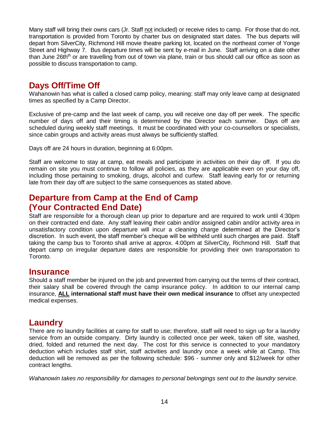Many staff will bring their owns cars (Jr. Staff not included) or receive rides to camp. For those that do not, transportation is provided from Toronto by charter bus on designated start dates. The bus departs will depart from SilverCity, Richmond Hill movie theatre parking lot, located on the northeast corner of Yonge Street and Highway 7. Bus departure times will be sent by e-mail in June. Staff arriving on a date other than June 26th<sup>th</sup> or are travelling from out of town via plane, train or bus should call our office as soon as possible to discuss transportation to camp.

# **Days Off/Time Off**

Wahanowin has what is called a closed camp policy, meaning: staff may only leave camp at designated times as specified by a Camp Director.

Exclusive of pre-camp and the last week of camp, you will receive one day off per week. The specific number of days off and their timing is determined by the Director each summer. Days off are scheduled during weekly staff meetings. It must be coordinated with your co-counsellors or specialists, since cabin groups and activity areas must always be sufficiently staffed.

Days off are 24 hours in duration, beginning at 6:00pm.

Staff are welcome to stay at camp, eat meals and participate in activities on their day off. If you do remain on site you must continue to follow all policies, as they are applicable even on your day off, including those pertaining to smoking, drugs, alcohol and curfew. Staff leaving early for or returning late from their day off are subject to the same consequences as stated above.

# **Departure from Camp at the End of Camp (Your Contracted End Date)**

Staff are responsible for a thorough clean up prior to departure and are required to work until 4:30pm on their contracted end date. Any staff leaving their cabin and/or assigned cabin and/or activity area in unsatisfactory condition upon departure will incur a cleaning charge determined at the Director's discretion. In such event, the staff member's cheque will be withheld until such charges are paid. Staff taking the camp bus to Toronto shall arrive at approx. 4:00pm at SilverCity, Richmond Hill. Staff that depart camp on irregular departure dates are responsible for providing their own transportation to Toronto.

### **Insurance**

Should a staff member be injured on the job and prevented from carrying out the terms of their contract, their salary shall be covered through the camp insurance policy. In addition to our internal camp insurance, **ALL international staff must have their own medical insurance** to offset any unexpected medical expenses.

### **Laundry**

There are no laundry facilities at camp for staff to use; therefore, staff will need to sign up for a laundry service from an outside company. Dirty laundry is collected once per week, taken off site, washed, dried, folded and returned the next day. The cost for this service is connected to your mandatory deduction which includes staff shirt, staff activities and laundry once a week while at Camp. This deduction will be removed as per the following schedule: \$96 - summer only and \$12/week for other contract lengths.

*Wahanowin takes no responsibility for damages to personal belongings sent out to the laundry service.*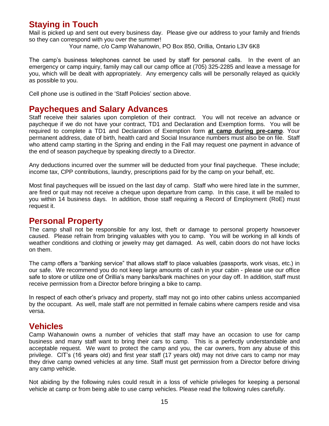# **Staying in Touch**

Mail is picked up and sent out every business day. Please give our address to your family and friends so they can correspond with you over the summer!

Your name, c/o Camp Wahanowin, PO Box 850, Orillia, Ontario L3V 6K8

The camp's business telephones cannot be used by staff for personal calls. In the event of an emergency or camp inquiry, family may call our camp office at (705) 325-2285 and leave a message for you, which will be dealt with appropriately. Any emergency calls will be personally relayed as quickly as possible to you.

Cell phone use is outlined in the 'Staff Policies' section above.

### **Paycheques and Salary Advances**

Staff receive their salaries upon completion of their contract. You will not receive an advance or paycheque if we do not have your contract, TD1 and Declaration and Exemption forms. You will be required to complete a TD1 and Declaration of Exemption form **at camp during pre-camp**. Your permanent address, date of birth, health card and Social Insurance numbers must also be on file. Staff who attend camp starting in the Spring and ending in the Fall may request one payment in advance of the end of season paycheque by speaking directly to a Director.

Any deductions incurred over the summer will be deducted from your final paycheque. These include; income tax, CPP contributions, laundry, prescriptions paid for by the camp on your behalf, etc.

Most final paycheques will be issued on the last day of camp. Staff who were hired late in the summer, are fired or quit may not receive a cheque upon departure from camp. In this case, it will be mailed to you within 14 business days. In addition, those staff requiring a Record of Employment (RoE) must request it.

### **Personal Property**

The camp shall not be responsible for any lost, theft or damage to personal property howsoever caused. Please refrain from bringing valuables with you to camp. You will be working in all kinds of weather conditions and clothing or jewelry may get damaged. As well, cabin doors do not have locks on them.

The camp offers a "banking service" that allows staff to place valuables (passports, work visas, etc.) in our safe. We recommend you do not keep large amounts of cash in your cabin - please use our office safe to store or utilize one of Orillia's many banks/bank machines on your day off. In addition, staff must receive permission from a Director before bringing a bike to camp.

In respect of each other's privacy and property, staff may not go into other cabins unless accompanied by the occupant. As well, male staff are not permitted in female cabins where campers reside and visa versa.

### **Vehicles**

Camp Wahanowin owns a number of vehicles that staff may have an occasion to use for camp business and many staff want to bring their cars to camp. This is a perfectly understandable and acceptable request. We want to protect the camp and you, the car owners, from any abuse of this privilege. CIT's (16 years old) and first year staff (17 years old) may not drive cars to camp nor may they drive camp owned vehicles at any time. Staff must get permission from a Director before driving any camp vehicle.

Not abiding by the following rules could result in a loss of vehicle privileges for keeping a personal vehicle at camp or from being able to use camp vehicles. Please read the following rules carefully.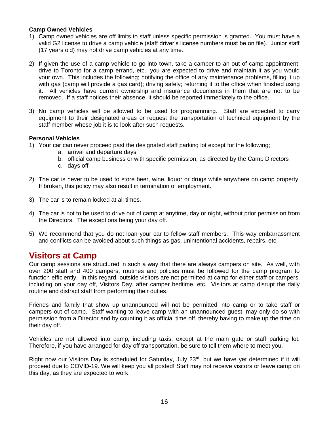### **Camp Owned Vehicles**

- 1) Camp owned vehicles are off limits to staff unless specific permission is granted. You must have a valid G2 license to drive a camp vehicle (staff driver's license numbers must be on file). Junior staff (17 years old) may not drive camp vehicles at any time.
- 2) If given the use of a camp vehicle to go into town, take a camper to an out of camp appointment, drive to Toronto for a camp errand, etc., you are expected to drive and maintain it as you would your own. This includes the following; notifying the office of any maintenance problems, filling it up with gas (camp will provide a gas card); driving safely; returning it to the office when finished using it. All vehicles have current ownership and insurance documents in them that are not to be removed. If a staff notices their absence, it should be reported immediately to the office.
- 3) No camp vehicles will be allowed to be used for programming. Staff are expected to carry equipment to their designated areas or request the transportation of technical equipment by the staff member whose job it is to look after such requests.

#### **Personal Vehicles**

- 1) Your car can never proceed past the designated staff parking lot except for the following;
	- a. arrival and departure days
	- b. official camp business or with specific permission, as directed by the Camp Directors
	- c. days off
- 2) The car is never to be used to store beer, wine, liquor or drugs while anywhere on camp property. If broken, this policy may also result in termination of employment.
- 3) The car is to remain locked at all times.
- 4) The car is not to be used to drive out of camp at anytime, day or night, without prior permission from the Directors. The exceptions being your day off.
- 5) We recommend that you do not loan your car to fellow staff members. This way embarrassment and conflicts can be avoided about such things as gas, unintentional accidents, repairs, etc.

### **Visitors at Camp**

Our camp sessions are structured in such a way that there are always campers on site. As well, with over 200 staff and 400 campers, routines and policies must be followed for the camp program to function efficiently. In this regard, outside visitors are not permitted at camp for either staff or campers, including on your day off, Visitors Day, after camper bedtime, etc. Visitors at camp disrupt the daily routine and distract staff from performing their duties.

Friends and family that show up unannounced will not be permitted into camp or to take staff or campers out of camp. Staff wanting to leave camp with an unannounced guest, may only do so with permission from a Director and by counting it as official time off, thereby having to make up the time on their day off.

Vehicles are not allowed into camp, including taxis, except at the main gate or staff parking lot. Therefore, if you have arranged for day off transportation, be sure to tell them where to meet you.

Right now our Visitors Day is scheduled for Saturday, July 23<sup>rd</sup>, but we have yet determined if it will proceed due to COVID-19. We will keep you all posted! Staff may not receive visitors or leave camp on this day, as they are expected to work.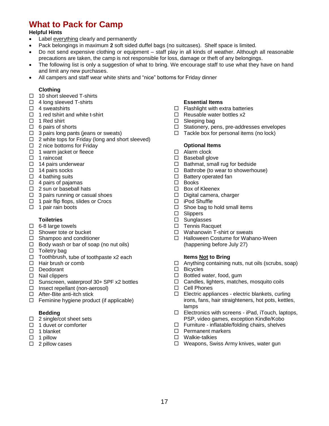# **What to Pack for Camp**

#### **Helpful Hints**

- Label everything clearly and permanently
- Pack belongings in maximum **2** soft sided duffel bags (no suitcases). Shelf space is limited.
- Do not send expensive clothing or equipment staff play in all kinds of weather. Although all reasonable precautions are taken, the camp is not responsible for loss, damage or theft of any belongings.
- The following list is only a suggestion of what to bring. We encourage staff to use what they have on hand and limit any new purchases.
- All campers and staff wear white shirts and "nice" bottoms for Friday dinner

#### **Clothing**

- $\Box$  10 short sleeved T-shirts
- $\Box$  4 long sleeved T-shirts
- $\Box$  4 sweatshirts
- $\Box$  1 red tshirt and white t-shirt
- $\Box$  1 Red shirt
- $\Box$  6 pairs of shorts
- $\Box$  3 pairs long pants (jeans or sweats)
- $\Box$  2 white tops for Friday (long and short sleeved)
- $\Box$  2 nice bottoms for Friday
- $\Box$  1 warm jacket or fleece
- $\Box$  1 raincoat
- $\Box$  14 pairs underwear
- $\Box$  14 pairs socks
- $\Box$  4 bathing suits
- $\Box$  4 pairs of pajamas
- $\Box$  2 sun or baseball hats
- $\Box$  3 pairs running or casual shoes
- $\Box$  1 pair flip flops, slides or Crocs
- $\Box$  1 pair rain boots

#### **Toiletries**

- $\Box$  6-8 large towels
- $\Box$  Shower tote or bucket
- □ Shampoo and conditioner
- $\Box$  Body wash or bar of soap (no nut oils)
- $\Box$  Toiletry bag
- $\Box$  Toothbrush, tube of toothpaste x2 each
- $\Box$  Hair brush or comb
- Deodorant
- $\square$  Nail clippers
- $\Box$  Sunscreen, waterproof 30+ SPF x2 bottles
- $\Box$  Insect repellant (non-aerosol)
- □ After-Bite anti-itch stick
- $\Box$  Feminine hygiene product (if applicable)

#### **Bedding**

- $\Box$  2 single/cot sheet sets
- $\Box$  1 duvet or comforter
- $\Box$  1 blanket
- $\Box$  1 pillow
- $\Box$  2 pillow cases

#### **Essential Items**

- $\Box$  Flashlight with extra batteries
- $\Box$  Reusable water bottles x2
- $\square$  Sleeping bag
- □ Stationery, pens, pre-addresses envelopes
- $\Box$  Tackle box for personal items (no lock)

#### **Optional Items**

- □ Alarm clock
- $\square$  Baseball glove
- $\Box$  Bathmat, small rug for bedside
- $\Box$  Bathrobe (to wear to showerhouse)
- $\square$  Battery operated fan
- □ Books
- □ Box of Kleenex
- Digital camera, charger
- □ iPod Shuffle
- $\Box$  Shoe bag to hold small items
- □ Slippers
- □ Sunglasses
- $\Box$  Tennis Racquet
- □ Wahanowin T-shirt or sweats
- □ Halloween Costume for Wahano-Ween (happening before July 27)

#### **Items Not to Bring**

- $\Box$  Anything containing nuts, nut oils (scrubs, soap)
- □ Bicycles
- $\Box$  Bottled water, food, gum
- □ Candles, lighters, matches, mosquito coils
- □ Cell Phones
- $\Box$  Electric appliances electric blankets, curling irons, fans, hair straighteners, hot pots, kettles, lamps
- $\Box$  Electronics with screens iPad, iTouch, laptops, PSP, video games, exception Kindle/Kobo
- $\Box$  Furniture inflatable/folding chairs, shelves
- $\square$  Permanent markers
- Walkie-talkies
- □ Weapons, Swiss Army knives, water gun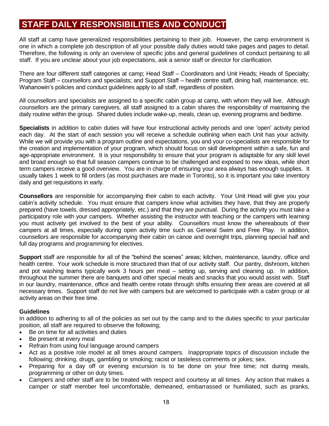# **STAFF DAILY RESPONSIBILITIES AND CONDUCT**

All staff at camp have generalized responsibilities pertaining to their job. However, the camp environment is one in which a complete job description of all your possible daily duties would take pages and pages to detail. Therefore, the following is only an overview of specific jobs and general guidelines of conduct pertaining to all staff. If you are unclear about your job expectations, ask a senior staff or director for clarification.

There are four different staff categories at camp; Head Staff – Coordinators and Unit Heads; Heads of Specialty; Program Staff – counsellors and specialists; and Support Staff – health centre staff, dining hall, maintenance, etc. Wahanowin's policies and conduct guidelines apply to all staff, regardless of position.

All counsellors and specialists are assigned to a specific cabin group at camp, with whom they will live. Although counsellors are the primary caregivers, all staff assigned to a cabin shares the responsibility of maintaining the daily routine within the group. Shared duties include wake-up, meals, clean up, evening programs and bedtime.

**Specialists** in addition to cabin duties will have four instructional activity periods and one 'open' activity period each day. At the start of each session you will receive a schedule outlining when each Unit has your activity. While we will provide you with a program outline and expectations, you and your co-specialists are responsible for the creation and implementation of your program, which should focus on skill development within a safe, fun and age-appropriate environment. It is your responsibility to ensure that your program is adaptable for any skill level and broad enough so that full season campers continue to be challenged and exposed to new ideas, while short term campers receive a good overview. You are in charge of ensuring your area always has enough supplies. It usually takes 1 week to fill orders (as most purchases are made in Toronto), so it is important you take inventory daily and get requisitions in early.

**Counsellors** are responsible for accompanying their cabin to each activity. Your Unit Head will give you your cabin's activity schedule. You must ensure that campers know what activities they have, that they are properly prepared (have towels, dressed appropriately, etc.) and that they are punctual. During the activity you must take a participatory role with your campers. Whether assisting the instructor with teaching or the campers with learning you must actively get involved to the best of your ability. Counsellors must know the whereabouts of their campers at all times, especially during open activity time such as General Swim and Free Play. In addition, counsellors are responsible for accompanying their cabin on canoe and overnight trips, planning special half and full day programs and programming for electives.

**Support** staff are responsible for all of the "behind the scenes" areas; kitchen, maintenance, laundry, office and health centre. Your work schedule is more structured than that of our activity staff. Our pantry, dishroom, kitchen and pot washing teams typically work 3 hours per meal – setting up, serving and cleaning up. In addition, throughout the summer there are banquets and other special meals and snacks that you would assist with. Staff in our laundry, maintenance, office and health centre rotate through shifts ensuring their areas are covered at all necessary times. Support staff do not live with campers but are welcomed to participate with a cabin group or at activity areas on their free time.

### **Guidelines**

In addition to adhering to all of the policies as set out by the camp and to the duties specific to your particular position, all staff are required to observe the following;

- Be on time for all activities and duties
- Be present at every meal
- Refrain from using foul language around campers
- Act as a positive role model at all times around campers. Inappropriate topics of discussion include the following; drinking, drugs, gambling or smoking; racist or tasteless comments or jokes; sex.
- Preparing for a day off or evening excursion is to be done on your free time; not during meals, programming or other on duty times.
- Campers and other staff are to be treated with respect and courtesy at all times. Any action that makes a camper or staff member feel uncomfortable, demeaned, embarrassed or humiliated, such as pranks,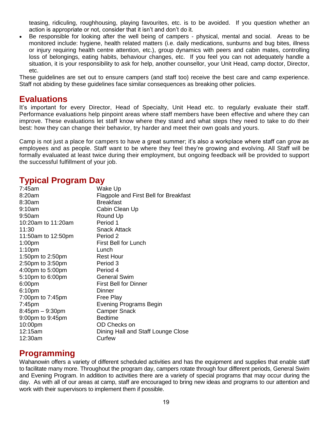teasing, ridiculing, roughhousing, playing favourites, etc. is to be avoided. If you question whether an action is appropriate or not, consider that it isn't and don't do it.

 Be responsible for looking after the well being of campers - physical, mental and social. Areas to be monitored include: hygiene, health related matters (i.e. daily medications, sunburns and bug bites, illness or injury requiring health centre attention, etc.), group dynamics with peers and cabin mates, controlling loss of belongings, eating habits, behaviour changes, etc. If you feel you can not adequately handle a situation, it is your responsibility to ask for help, another counsellor, your Unit Head, camp doctor, Director, etc.

These guidelines are set out to ensure campers (and staff too) receive the best care and camp experience. Staff not abiding by these guidelines face similar consequences as breaking other policies.

### **Evaluations**

It's important for every Director, Head of Specialty, Unit Head etc. to regularly evaluate their staff. Performance evaluations help pinpoint areas where staff members have been effective and where they can improve. These evaluations let staff know where they stand and what steps they need to take to do their best: how they can change their behavior, try harder and meet their own goals and yours.

Camp is not just a place for campers to have a great summer; it's also a workplace where staff can grow as employees and as people. Staff want to be where they feel they're growing and evolving. All Staff will be formally evaluated at least twice during their employment, but ongoing feedback will be provided to support the successful fulfillment of your job.

### **Typical Program Day**

| 7:45am               | Wake Up                               |
|----------------------|---------------------------------------|
| 8:20am               | Flagpole and First Bell for Breakfast |
| 8:30am               | <b>Breakfast</b>                      |
| 9:10am               | Cabin Clean Up                        |
| 9:50am               | Round Up                              |
| 10:20am to 11:20am   | Period 1                              |
| 11:30                | Snack Attack                          |
| 11:50am to 12:50pm   | Period 2                              |
| 1:00 <sub>pm</sub>   | <b>First Bell for Lunch</b>           |
| 1:10 <sub>pm</sub>   | Lunch                                 |
| 1:50pm to 2:50pm     | <b>Rest Hour</b>                      |
| 2:50pm to 3:50pm     | Period 3                              |
| 4:00pm to 5:00pm     | Period 4                              |
| 5:10pm to 6:00pm     | <b>General Swim</b>                   |
| 6:00pm               | <b>First Bell for Dinner</b>          |
| 6:10pm               | Dinner                                |
| 7:00pm to 7:45pm     | Free Play                             |
| $7:45$ pm            | Evening Programs Begin                |
| $8:45$ pm $-9:30$ pm | <b>Camper Snack</b>                   |
| 9:00pm to 9:45pm     | <b>Bedtime</b>                        |
| 10:00pm              | OD Checks on                          |
| 12:15am              | Dining Hall and Staff Lounge Close    |
| 12:30am              | Curfew                                |

### **Programming**

Wahanowin offers a variety of different scheduled activities and has the equipment and supplies that enable staff to facilitate many more. Throughout the program day, campers rotate through four different periods, General Swim and Evening Program. In addition to activities there are a variety of special programs that may occur during the day. As with all of our areas at camp, staff are encouraged to bring new ideas and programs to our attention and work with their supervisors to implement them if possible.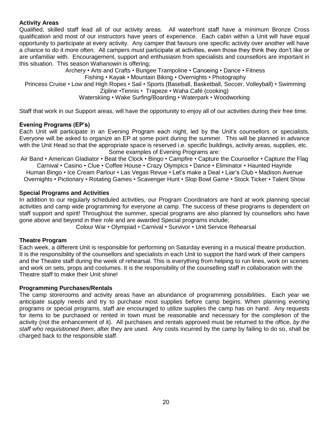### **Activity Areas**

Qualified, skilled staff lead all of our activity areas. All waterfront staff have a minimum Bronze Cross qualification and most of our instructors have years of experience. Each cabin within a Unit will have equal opportunity to participate at every activity. Any camper that favours one specific activity over another will have a chance to do it more often. All campers must participate at activities, even those they think they don't like or are unfamiliar with. Encouragement, support and enthusiasm from specialists and counsellors are important in this situation. This season Wahanowin is offering;

Archery • Arts and Crafts • Bungee Trampoline • Canoeing • Dance • Fitness Fishing • Kayak • Mountain Biking • Overnights • Photography Princess Cruise • Low and High Ropes • Sail • Sports (Baseball, Basketball, Soccer, Volleyball) • Swimming Zipline •Tennis • Trapeze • Waha Café (cooking) Waterskiing • Wake Surfing/Boarding • Waterpark • Woodworking

Staff that work in our Support areas, will have the opportunity to enjoy all of our activities during their free time.

### **Evening Programs (EP's)**

Each Unit will participate in an Evening Program each night, led by the Unit's counsellors or specialists. Everyone will be asked to organize an EP at some point during the summer. This will be planned in advance with the Unit Head so that the appropriate space is reserved i.e. specific buildings, activity areas, supplies, etc. Some examples of Evening Programs are:

Air Band • American Gladiator • Beat the Clock • Bingo • Campfire • Capture the Counsellor • Capture the Flag Carnival • Casino • Clue • Coffee House • Crazy Olympics • Dance • Eliminator • Haunted Hayride Human Bingo • Ice Cream Parlour • Las Vegas Revue • Let's make a Deal • Liar's Club • Madison Avenue Overnights • Pictionary • Rotating Games • Scavenger Hunt • Slop Bowl Game • Stock Ticker • Talent Show

### **Special Programs and Activities**

In addition to our regularly scheduled activities, our Program Coordinators are hard at work planning special activities and camp wide programming for everyone at camp. The success of these programs is dependent on staff support and spirit! Throughout the summer, special programs are also planned by counsellors who have gone above and beyond in their role and are awarded Special programs include;

Colour War • Olympiad • Carnival • Survivor • Unit Service Rehearsal

### **Theatre Program**

Each week, a different Unit is responsible for performing on Saturday evening in a musical theatre production. It is the responsibility of the counsellors and specialists in each Unit to support the hard work of their campers and the Theatre staff during the week of rehearsal. This is everything from helping to run lines, work on scenes and work on sets, props and costumes. It is the responsibility of the counselling staff in collaboration with the Theatre staff to make their Unit shine!

### **Programming Purchases/Rentals**

The camp storerooms and activity areas have an abundance of programming possibilities. Each year we anticipate supply needs and try to purchase most supplies before camp begins. When planning evening programs or special programs, staff are encouraged to utilize supplies the camp has on hand. Any requests for items to be purchased or rented in town must be reasonable and necessary for the completion of the activity (not the enhancement of it). All purchases and rentals approved must be returned to the office, *by the staff who requisitioned them*, after they are used. Any costs incurred by the camp by failing to do so, shall be charged back to the responsible staff.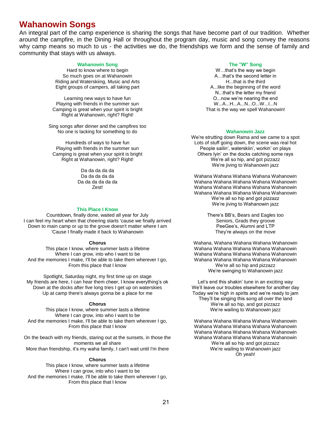### **Wahanowin Songs**

An integral part of the camp experience is sharing the songs that have become part of our tradition. Whether around the campfire, in the Dining Hall or throughout the program day, music and song convey the reasons why camp means so much to us - the activities we do, the friendships we form and the sense of family and community that stays with us always.

#### **Wahanowin Song**

Hard to know where to begin So much goes on at Wahanowin Riding and Waterskiing, Music and Arts Eight groups of campers, all taking part

Learning new ways to have fun Playing with friends in the summer sun Camping is great when your spirit is bright Right at Wahanowin, right? Right!

Sing songs after dinner and the campfires too No one is lacking for something to do

Hundreds of ways to have fun Playing with friends in the summer sun Camping is great when your spirit is bright Right at Wahanowin, right? Right!

> Da da da da da Da da da da da Da da da da da da Zest!

#### **This Place I Know**

Countdown, finally done, waited all year for July I can feel my heart when that cheering starts 'cause we finally arrived Down to main camp or up to the grove doesn't matter where I am 'Cause I finally made it back to Wahanowin

#### **Chorus**

This place I know, where summer lasts a lifetime Where I can grow, into who I want to be And the memories I make, I'll be able to take them wherever I go, From this place that I know

Spotlight, Saturday night, my first time up on stage My friends are here, I can hear them cheer, I know everything's ok Down at the docks after five long tries I get up on waterskies Up at camp there's always gonna be a place for me

#### **Chorus**

This place I know, where summer lasts a lifetime Where I can grow, into who I want to be And the memories I make. I'll be able to take them wherever I go, From this place that I know

On the beach with my friends, staring out at the sunsets, in those the moments we all share More than friendship, it's my waha family, I can't wait until I'm there

#### **Chorus**

This place I know, where summer lasts a lifetime Where I can grow, into who I want to be And the memories I make. I'll be able to take them wherever I go, From this place that I know

#### **The "W" Song**

W…that's the way we begin A…that's the second letter in H that is the third A...like the beginning of the word N...that's the letter my friend O...now we're nearing the end W...A...H...A...N...O...W...I...N That is the way we spell Wahanowin!

#### **Wahanowin Jazz**

We're strutting down Rama and we came to a spot Lots of stuff going down, the scene was real hot People sailin', waterskiin', workin' on plays Others lyin' on the docks catching some rays We're all so hip, and got pizzazz We're jiving to Wahanowin jazz

Wahana Wahana Wahana Wahana Wahanowin Wahana Wahana Wahana Wahana Wahanowin Wahana Wahana Wahana Wahana Wahanowin Wahana Wahana Wahana Wahana Wahanowin We're all so hip and got pizzazz We're jiving to Wahanowin jazz

> There's BB's, Bears and Eagles too Seniors, Grads they groove PeeGee's, Alumni and LTP They're always on the move

Wahana, Wahana Wahana Wahana Wahanowin Wahana Wahana Wahana Wahana Wahanowin Wahana Wahana Wahana Wahana Wahanowin Wahana Wahana Wahana Wahana Wahanowin We're all so hip and pizzazz We're swinging to Wahanowin jazz

Let's end this shakin' tune in an exciting way We'll leave our troubles elsewhere for another day Today we're high in spirits and we're ready to jam They'll be singing this song all over the land We're all so hip, and got pizzazz We're wailing to Wahanowin jazz

Wahana Wahana Wahana Wahana Wahanowin Wahana Wahana Wahana Wahana Wahanowin Wahana Wahana Wahana Wahana Wahanowin Wahana Wahana Wahana Wahana Wahanowin We're all so hip and got pizzazz We're wailing to Wahanowin jazz Oh yeah!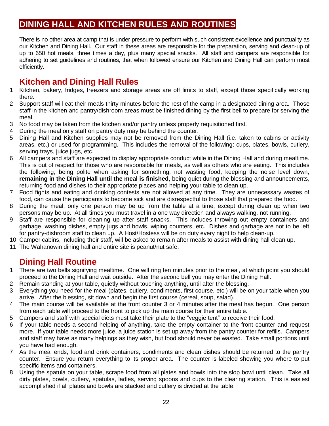# **DINING HALL AND KITCHEN RULES AND ROUTINES**

There is no other area at camp that is under pressure to perform with such consistent excellence and punctuality as our Kitchen and Dining Hall. Our staff in these areas are responsible for the preparation, serving and clean-up of up to 650 hot meals, three times a day, plus many special snacks. All staff and campers are responsible for adhering to set guidelines and routines, that when followed ensure our Kitchen and Dining Hall can perform most efficiently.

# **Kitchen and Dining Hall Rules**

- 1 Kitchen, bakery, fridges, freezers and storage areas are off limits to staff, except those specifically working there.
- 2 Support staff will eat their meals thirty minutes before the rest of the camp in a designated dining area. Those staff in the kitchen and pantry/dishroom areas must be finished dining by the first bell to prepare for serving the meal.
- 3 No food may be taken from the kitchen and/or pantry unless properly requisitioned first.
- 4 During the meal only staff on pantry duty may be behind the counter.
- 5 Dining Hall and Kitchen supplies may not be removed from the Dining Hall (i.e. taken to cabins or activity areas, etc.) or used for programming. This includes the removal of the following: cups, plates, bowls, cutlery, serving trays, juice jugs, etc.
- 6 All campers and staff are expected to display appropriate conduct while in the Dining Hall and during mealtime. This is out of respect for those who are responsible for meals, as well as others who are eating. This includes the following; being polite when asking for something, not wasting food, keeping the noise level down, **remaining in the Dining Hall until the meal is finished**, being quiet during the blessing and announcements, returning food and dishes to their appropriate places and helping your table to clean up.
- 7 Food fights and eating and drinking contests are not allowed at any time. They are unnecessary wastes of food, can cause the participants to become sick and are disrespectful to those staff that prepared the food.
- 8 During the meal, only one person may be up from the table at a time, except during clean up when two persons may be up. At all times you must travel in a one way direction and always walking, not running.
- 9 Staff are responsible for cleaning up after staff snacks. This includes throwing out empty containers and garbage, washing dishes, empty jugs and bowls, wiping counters, etc. Dishes and garbage are not to be left for pantry-dishroom staff to clean up. A Host/Hostess will be on duty every night to help clean-up.
- 10 Camper cabins, including their staff, will be asked to remain after meals to assist with dining hall clean up.
- 11 The Wahanowin dining hall and entire site is peanut/nut safe.

# **Dining Hall Routine**

- 1 There are two bells signifying mealtime. One will ring ten minutes prior to the meal, at which point you should proceed to the Dining Hall and wait outside. After the second bell you may enter the Dining Hall.
- 2 Remain standing at your table, quietly without touching anything, until after the blessing.
- 3 Everything you need for the meal (plates, cutlery, condiments, first course, etc.) will be on your table when you arrive. After the blessing, sit down and begin the first course (cereal, soup, salad).
- 4 The main course will be available at the front counter 3 or 4 minutes after the meal has begun. One person from each table will proceed to the front to pick up the main course for their entire table.
- 5 Campers and staff with special diets must take their plate to the "veggie tent" to receive their food.
- 6 If your table needs a second helping of anything, take the empty container to the front counter and request more. If your table needs more juice, a juice station is set up away from the pantry counter for refills. Campers and staff may have as many helpings as they wish, but food should never be wasted. Take small portions until you have had enough.
- 7 As the meal ends, food and drink containers, condiments and clean dishes should be returned to the pantry counter. Ensure you return everything to its proper area. The counter is labeled showing you where to put specific items and containers.
- 8 Using the spatula on your table, scrape food from all plates and bowls into the slop bowl until clean. Take all dirty plates, bowls, cutlery, spatulas, ladles, serving spoons and cups to the clearing station. This is easiest accomplished if all plates and bowls are stacked and cutlery is divided at the table.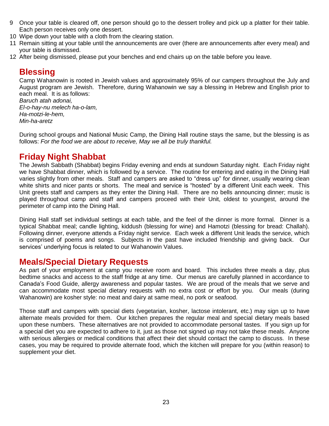- 9 Once your table is cleared off, one person should go to the dessert trolley and pick up a platter for their table. Each person receives only one dessert.
- 10 Wipe down your table with a cloth from the clearing station.
- 11 Remain sitting at your table until the announcements are over (there are announcements after every meal) and your table is dismissed.
- 12 After being dismissed, please put your benches and end chairs up on the table before you leave.

### **Blessing**

Camp Wahanowin is rooted in Jewish values and approximately 95% of our campers throughout the July and August program are Jewish. Therefore, during Wahanowin we say a blessing in Hebrew and English prior to each meal. It is as follows:

*Baruch atah adonai, El-o-hay-nu melech ha-o-lam, Ha-motzi-le-hem, Min-ha-aretz*

During school groups and National Music Camp, the Dining Hall routine stays the same, but the blessing is as follows: *For the food we are about to receive, May we all be truly thankful.*

### **Friday Night Shabbat**

The Jewish Sabbath (Shabbat) begins Friday evening and ends at sundown Saturday night. Each Friday night we have Shabbat dinner, which is followed by a service. The routine for entering and eating in the Dining Hall varies slightly from other meals. Staff and campers are asked to "dress up" for dinner, usually wearing clean white shirts and nicer pants or shorts. The meal and service is "hosted" by a different Unit each week. This Unit greets staff and campers as they enter the Dining Hall. There are no bells announcing dinner; music is played throughout camp and staff and campers proceed with their Unit, oldest to youngest, around the perimeter of camp into the Dining Hall.

Dining Hall staff set individual settings at each table, and the feel of the dinner is more formal. Dinner is a typical Shabbat meal; candle lighting, kiddush (blessing for wine) and Hamotzi (blessing for bread: Challah). Following dinner, everyone attends a Friday night service. Each week a different Unit leads the service, which is comprised of poems and songs. Subjects in the past have included friendship and giving back. Our services' underlying focus is related to our Wahanowin Values.

### **Meals/Special Dietary Requests**

As part of your employment at camp you receive room and board. This includes three meals a day, plus bedtime snacks and access to the staff fridge at any time. Our menus are carefully planned in accordance to Canada's Food Guide, allergy awareness and popular tastes. We are proud of the meals that we serve and can accommodate most special dietary requests with no extra cost or effort by you. Our meals (during Wahanowin) are kosher style: no meat and dairy at same meal, no pork or seafood.

Those staff and campers with special diets (vegetarian, kosher, lactose intolerant, etc.) may sign up to have alternate meals provided for them. Our kitchen prepares the regular meal and special dietary meals based upon these numbers. These alternatives are not provided to accommodate personal tastes. If you sign up for a special diet you are expected to adhere to it, just as those not signed up may not take these meals. Anyone with serious allergies or medical conditions that affect their diet should contact the camp to discuss. In these cases, you may be required to provide alternate food, which the kitchen will prepare for you (within reason) to supplement your diet.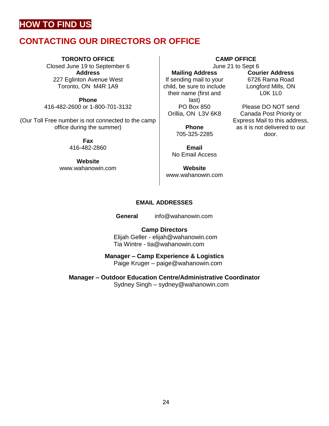# **HOW TO FIND US**

# **CONTACTING OUR DIRECTORS OR OFFICE**

### **TORONTO OFFICE**

Closed June 19 to September 6 **Address** 227 Eglinton Avenue West Toronto, ON M4R 1A9

**Phone** 416-482-2600 or 1-800-701-3132

(Our Toll Free number is not connected to the camp office during the summer)

> **Fax** 416-482-2860

**Website** www.wahanowin.com

### **Mailing Address** If sending mail to your child, be sure to include their name (first and last) PO Box 850 Orillia, ON L3V 6K8

**Phone** 705-325-2285

**Email** No Email Access

**Website** [www.wahanowin.com](http://www.wahanowin.com/)

**CAMP OFFICE** June 21 to Sept 6

> **Courier Address** 6726 Rama Road Longford Mills, ON L0K 1L0

Please DO NOT send Canada Post Priority or Express Mail to this address, as it is not delivered to our door.

### **EMAIL ADDRESSES**

**General** [info@wahanowin.com](mailto:info@wahanowin.com)

**Camp Directors** Elijah Geller - [elijah@wahanowin.com](mailto:elijah@wahanowin.com) Tia Wintre - [tia@wahanowin.com](mailto:tia@wahanowin.com)

**Manager – Camp Experience & Logistics**

Paige Kruger – paige@wahanowin.com

**Manager – Outdoor Education Centre/Administrative Coordinator**

Sydney Singh – sydney@wahanowin.com